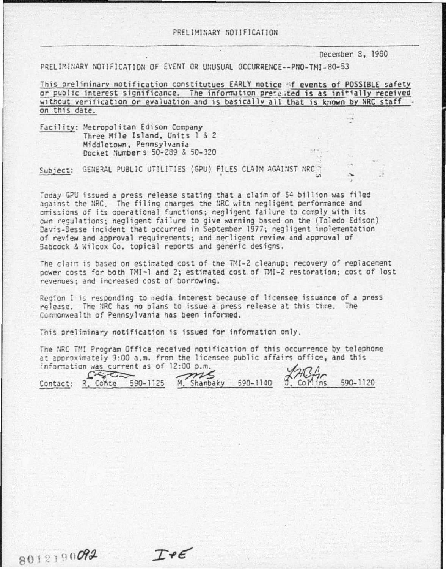December 8, 1980

PRELIMINARY NOTIFICATION OF EVENT OR UNUSUAL OCCURRENCE--PNO-TMI-80-53

This preliminary notification constitutues EARLY notice of events of POSSIBLE safety or public interest significance. The information presented is as initially received without verification or evaluation and is basically all that is known by NRC staff. on this date.

Facility: Metropolitan Edison Company Three Mile Island, Units 1 & 2 Middletown, Pennsylvania Docket Number \$ 50-289 & 50-320

Subject: GENERAL PUBLIC UTILITIES (GPU) FILES CLAIM AGAINST NRC ?

Today GPU issued a press release stating that a claim of \$4 billion was filed against the NRC. The filing charges the NRC with negligent performance and omissions of its operational functions; negligent failure to comply with its own regulations; negligent failure to give warning based on the (Toledo Edison) Davis-Besse incident that occurred in September 1977; negligent implementation of review and approval requirements; and necligent review and approval of Babcock & Wilcox Co. topical reports and generic designs.

The claim is based on estimated cost of the TMI-2 cleanup; recovery of replacement power costs for both TMI-1 and 2; estimated cost of TMI-2 restoration; cost of lost revenues: and increased cost of borrowing.

Region I is responding to media interest because of licensee issuance of a press release. The NRC has no plans to issue a press release at this time. The Commonwealth of Pennsylvania has been informed.

This preliminary notification is issued for information only.

 $I + \epsilon$ 

The NRC TMI Program Office received notification of this occurrence by telephone at approximately 9:00 a.m. from the licensee public affairs office, and this information was current as of 12:00 p.m.

ms  $G\rightarrow G$ Contact: R. Conte 590-1125 M. Shanbaky 590-1140 Collins 590-1120

8012190092